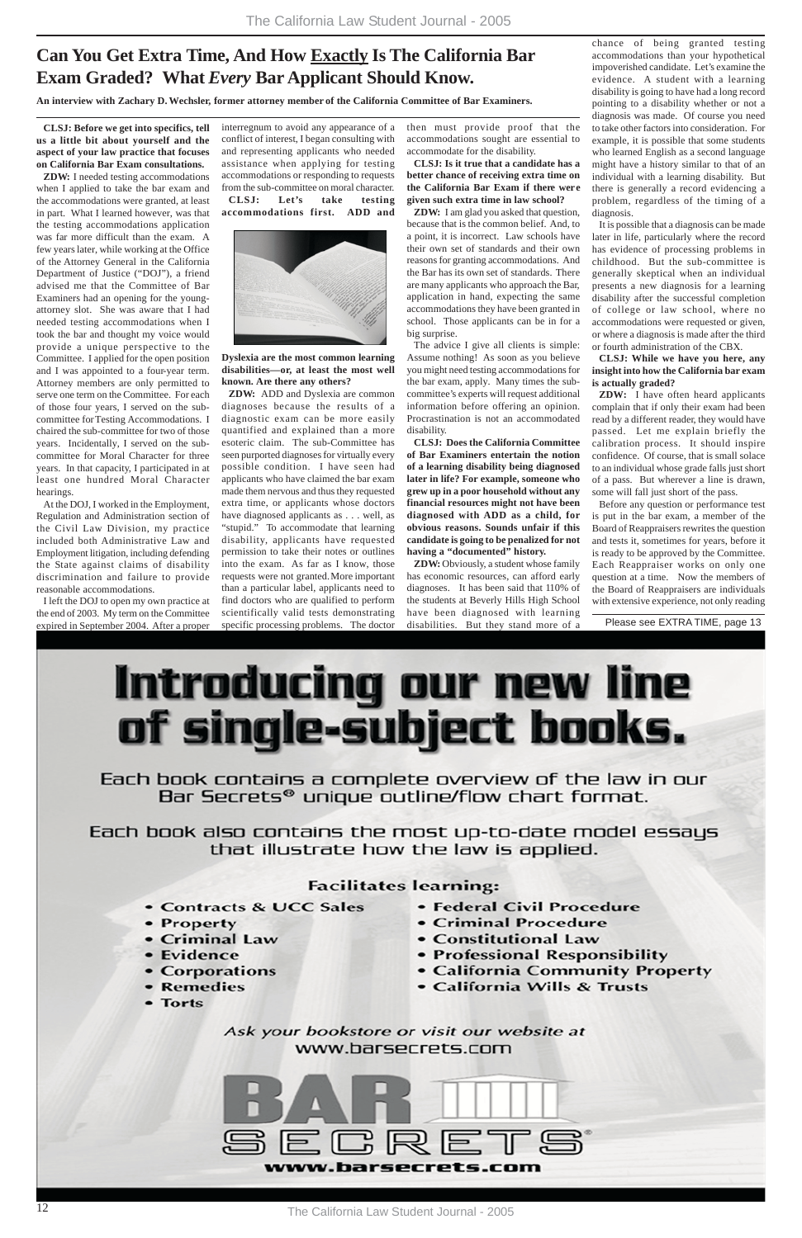# **Can You Get Extra Time, And How Exactly Is The California Bar Exam Graded? What** *Every* **Bar Applicant Should Know.**

**An interview with Zachary D. Wechsler, former attorney member of the California Committee of Bar Examiners.**

Please see EXTRA TIME, page 13



• Contracts & UCC Sales

• Federal Civil Procedure

- 
- Property
- Criminal Law
- Evidence
- Corporations
- Remedies
- **Torts**
- 
- Criminal Procedure
- Constitutional Law
- Professional Responsibility
- California Community Property
- California Wills & Trusts

Ask your bookstore or visit our website at www.barsecrets.com



**CLSJ: Before we get into specifics, tell us a little bit about yourself and the aspect of your law practice that focuses on California Bar Exam consultations.**

**ZDW:** I needed testing accommodations when I applied to take the bar exam and the accommodations were granted, at least in part. What I learned however, was that the testing accommodations application was far more difficult than the exam. A few years later, while working at the Office of the Attorney General in the California Department of Justice ("DOJ"), a friend advised me that the Committee of Bar Examiners had an opening for the youngattorney slot. She was aware that I had needed testing accommodations when I took the bar and thought my voice would provide a unique perspective to the Committee. I applied for the open position and I was appointed to a four-year term. Attorney members are only permitted to serve one term on the Committee. For each of those four years, I served on the subcommittee for Testing Accommodations. I chaired the sub-committee for two of those years. Incidentally, I served on the subcommittee for Moral Character for three years. In that capacity, I participated in at least one hundred Moral Character hearings.

At the DOJ, I worked in the Employment, Regulation and Administration section of the Civil Law Division, my practice included both Administrative Law and Employment litigation, including defending the State against claims of disability discrimination and failure to provide reasonable accommodations.

I left the DOJ to open my own practice at the end of 2003. My term on the Committee expired in September 2004. After a proper interregnum to avoid any appearance of a conflict of interest, I began consulting with and representing applicants who needed assistance when applying for testing accommodations or responding to requests from the sub-committee on moral character. **CLSJ: Let's take testing accommodations first. ADD and**



**Dyslexia are the most common learning disabilities—or, at least the most well known. Are there any others?**

**ZDW:** ADD and Dyslexia are common diagnoses because the results of a diagnostic exam can be more easily quantified and explained than a more esoteric claim. The sub-Committee has seen purported diagnoses for virtually every possible condition. I have seen had applicants who have claimed the bar exam made them nervous and thus they requested extra time, or applicants whose doctors have diagnosed applicants as . . . well, as "stupid." To accommodate that learning disability, applicants have requested permission to take their notes or outlines into the exam. As far as I know, those requests were not granted.More important than a particular label, applicants need to find doctors who are qualified to perform scientifically valid tests demonstrating specific processing problems. The doctor

chance of being granted testing accommodations than your hypothetical impoverished candidate. Let's examine the evidence. A student with a learning disability is going to have had a long record pointing to a disability whether or not a diagnosis was made. Of course you need to take other factors into consideration. For example, it is possible that some students who learned English as a second language might have a history similar to that of an individual with a learning disability. But there is generally a record evidencing a problem, regardless of the timing of a diagnosis.

It is possible that a diagnosis can be made later in life, particularly where the record has evidence of processing problems in childhood. But the sub-committee is generally skeptical when an individual presents a new diagnosis for a learning disability after the successful completion of college or law school, where no accommodations were requested or given, or where a diagnosis is made after the third or fourth administration of the CBX.

**CLSJ: While we have you here, any insight into how the California bar exam is actually graded?**

**ZDW:** I have often heard applicants complain that if only their exam had been read by a different reader, they would have passed. Let me explain briefly the calibration process. It should inspire confidence. Of course, that is small solace to an individual whose grade falls just short of a pass. But wherever a line is drawn, some will fall just short of the pass.

Before any question or performance test is put in the bar exam, a member of the Board of Reappraisers rewrites the question and tests it, sometimes for years, before it is ready to be approved by the Committee. Each Reappraiser works on only one question at a time. Now the members of the Board of Reappraisers are individuals with extensive experience, not only reading

then must provide proof that the accommodations sought are essential to accommodate for the disability.

**CLSJ: Is it true that a candidate has a better chance of receiving extra time on the California Bar Exam if there were given such extra time in law school?**

**ZDW:** I am glad you asked that question, because that is the common belief. And, to a point, it is incorrect. Law schools have their own set of standards and their own reasons for granting accommodations. And the Bar has its own set of standards. There are many applicants who approach the Bar, application in hand, expecting the same accommodations they have been granted in school. Those applicants can be in for a big surprise.

The advice I give all clients is simple: Assume nothing! As soon as you believe you might need testing accommodations for the bar exam, apply. Many times the subcommittee's experts will request additional information before offering an opinion. Procrastination is not an accommodated disability.

**CLSJ: Does the California Committee of Bar Examiners entertain the notion of a learning disability being diagnosed later in life? For example, someone who grew up in a poor household without any financial resources might not have been diagnosed with ADD as a child, for obvious reasons. Sounds unfair if this candidate is going to be penalized for not having a "documented" history.**

**ZDW:** Obviously, a student whose family has economic resources, can afford early diagnoses. It has been said that 110% of the students at Beverly Hills High School have been diagnosed with learning disabilities. But they stand more of a